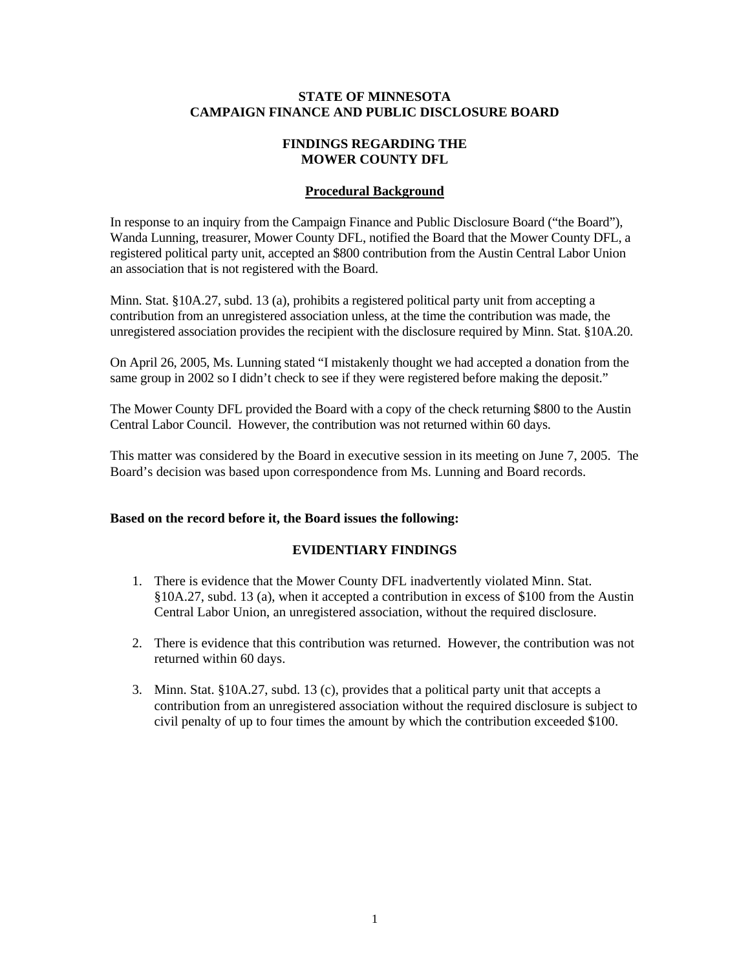#### **STATE OF MINNESOTA CAMPAIGN FINANCE AND PUBLIC DISCLOSURE BOARD**

# **FINDINGS REGARDING THE MOWER COUNTY DFL**

# **Procedural Background**

In response to an inquiry from the Campaign Finance and Public Disclosure Board ("the Board"), Wanda Lunning, treasurer, Mower County DFL, notified the Board that the Mower County DFL, a registered political party unit, accepted an \$800 contribution from the Austin Central Labor Union an association that is not registered with the Board.

Minn. Stat. §10A.27, subd. 13 (a), prohibits a registered political party unit from accepting a contribution from an unregistered association unless, at the time the contribution was made, the unregistered association provides the recipient with the disclosure required by Minn. Stat. §10A.20.

On April 26, 2005, Ms. Lunning stated "I mistakenly thought we had accepted a donation from the same group in 2002 so I didn't check to see if they were registered before making the deposit."

The Mower County DFL provided the Board with a copy of the check returning \$800 to the Austin Central Labor Council. However, the contribution was not returned within 60 days.

This matter was considered by the Board in executive session in its meeting on June 7, 2005. The Board's decision was based upon correspondence from Ms. Lunning and Board records.

## **Based on the record before it, the Board issues the following:**

## **EVIDENTIARY FINDINGS**

- 1. There is evidence that the Mower County DFL inadvertently violated Minn. Stat. §10A.27, subd. 13 (a), when it accepted a contribution in excess of \$100 from the Austin Central Labor Union, an unregistered association, without the required disclosure.
- 2. There is evidence that this contribution was returned. However, the contribution was not returned within 60 days.
- 3. Minn. Stat. §10A.27, subd. 13 (c), provides that a political party unit that accepts a contribution from an unregistered association without the required disclosure is subject to civil penalty of up to four times the amount by which the contribution exceeded \$100.